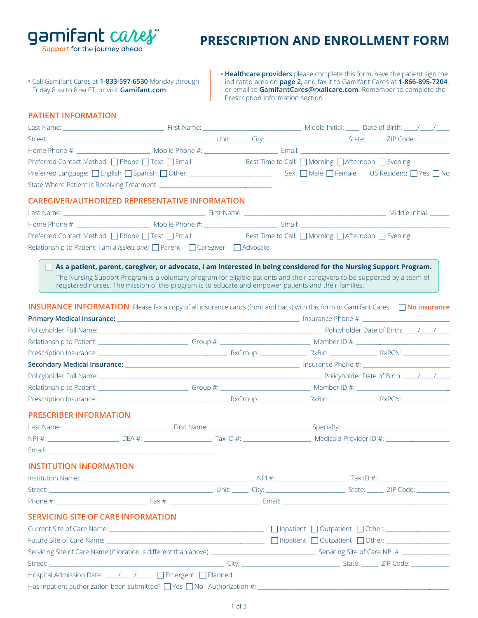gamifant cares Support for the journey ahead

# **PRESCRIPTION AND ENROLLMENT FORM**

**•** Call Gamifant Cares at **1-833-597-6530** Monday through Friday 8 am to 8 pm ET, or visit **[Gamifant.com](https://gamifant.com)**

**• Healthcare providers** please complete this form, have the patient sign the indicated area on **page 2**, and fax it to Gamifant Cares at **1-866-895-7204**, or email to **GamifantCares@rxallcare.com**. Remember to complete the Prescription Information section

#### **PATIENT INFORMATION**

|                                           | Preferred Contact Method: □ Phone □ Text □ Email Best Time to Call: □ Morning □ Afternoon □ Evening                                                                                                                                                                                                                                                                                                                                                                                                     |  |  |
|-------------------------------------------|---------------------------------------------------------------------------------------------------------------------------------------------------------------------------------------------------------------------------------------------------------------------------------------------------------------------------------------------------------------------------------------------------------------------------------------------------------------------------------------------------------|--|--|
|                                           |                                                                                                                                                                                                                                                                                                                                                                                                                                                                                                         |  |  |
|                                           |                                                                                                                                                                                                                                                                                                                                                                                                                                                                                                         |  |  |
|                                           | <b>CAREGIVER/AUTHORIZED REPRESENTATIVE INFORMATION</b>                                                                                                                                                                                                                                                                                                                                                                                                                                                  |  |  |
|                                           |                                                                                                                                                                                                                                                                                                                                                                                                                                                                                                         |  |  |
|                                           |                                                                                                                                                                                                                                                                                                                                                                                                                                                                                                         |  |  |
|                                           | Preferred Contact Method: □ Phone □ Text □ Email Best Time to Call: □ Morning □ Afternoon □ Evening                                                                                                                                                                                                                                                                                                                                                                                                     |  |  |
|                                           | Relationship to Patient: I am a (select one) D Parent D Caregiver D Advocate                                                                                                                                                                                                                                                                                                                                                                                                                            |  |  |
|                                           |                                                                                                                                                                                                                                                                                                                                                                                                                                                                                                         |  |  |
|                                           | As a patient, parent, caregiver, or advocate, I am interested in being considered for the Nursing Support Program.<br>The Nursing Support Program is a voluntary program for eligible patients and their caregivers to be supported by a team of<br>registered nurses. The mission of the program is to educate and empower patients and their families.<br><b>INSURANCE INFORMATION</b> Please fax a copy of all insurance cards (front and back) with this form to Gamifant Cares $\Box$ No insurance |  |  |
|                                           |                                                                                                                                                                                                                                                                                                                                                                                                                                                                                                         |  |  |
|                                           |                                                                                                                                                                                                                                                                                                                                                                                                                                                                                                         |  |  |
|                                           | Relationship to Patient: 1990 1991 Collection Computer School (School of the Computer School of the Computer School of the Computer School of the Computer School (School of the Computer School of the Computer School of the                                                                                                                                                                                                                                                                          |  |  |
|                                           |                                                                                                                                                                                                                                                                                                                                                                                                                                                                                                         |  |  |
|                                           |                                                                                                                                                                                                                                                                                                                                                                                                                                                                                                         |  |  |
|                                           | Policyholder Full Name: 11.12 / 12.12 Policyholder Date of Birth: 12.12 / 12.12 / 12.12 / 12.12 / 12.12 / 12.1                                                                                                                                                                                                                                                                                                                                                                                          |  |  |
|                                           |                                                                                                                                                                                                                                                                                                                                                                                                                                                                                                         |  |  |
|                                           |                                                                                                                                                                                                                                                                                                                                                                                                                                                                                                         |  |  |
| <b>PRESCRIBER INFORMATION</b>             |                                                                                                                                                                                                                                                                                                                                                                                                                                                                                                         |  |  |
|                                           |                                                                                                                                                                                                                                                                                                                                                                                                                                                                                                         |  |  |
|                                           |                                                                                                                                                                                                                                                                                                                                                                                                                                                                                                         |  |  |
|                                           | Email: Email: And a state of the state of the state of the state of the state of the state of the state of the                                                                                                                                                                                                                                                                                                                                                                                          |  |  |
| <b>INSTITUTION INFORMATION</b>            |                                                                                                                                                                                                                                                                                                                                                                                                                                                                                                         |  |  |
|                                           |                                                                                                                                                                                                                                                                                                                                                                                                                                                                                                         |  |  |
|                                           |                                                                                                                                                                                                                                                                                                                                                                                                                                                                                                         |  |  |
|                                           |                                                                                                                                                                                                                                                                                                                                                                                                                                                                                                         |  |  |
|                                           |                                                                                                                                                                                                                                                                                                                                                                                                                                                                                                         |  |  |
| <b>SERVICING SITE OF CARE INFORMATION</b> |                                                                                                                                                                                                                                                                                                                                                                                                                                                                                                         |  |  |
|                                           | Current Site of Care Name: <u>Current Site of Care Name: Current Site of Care Name: Current Site of Care Name:</u>                                                                                                                                                                                                                                                                                                                                                                                      |  |  |
|                                           |                                                                                                                                                                                                                                                                                                                                                                                                                                                                                                         |  |  |
|                                           |                                                                                                                                                                                                                                                                                                                                                                                                                                                                                                         |  |  |
|                                           |                                                                                                                                                                                                                                                                                                                                                                                                                                                                                                         |  |  |
|                                           | Hospital Admission Date: ____/____/ □ Emergent □ Planned                                                                                                                                                                                                                                                                                                                                                                                                                                                |  |  |

Has inpatient authorization been submitted?  $\Box$  Yes  $\Box$  No Authorization #: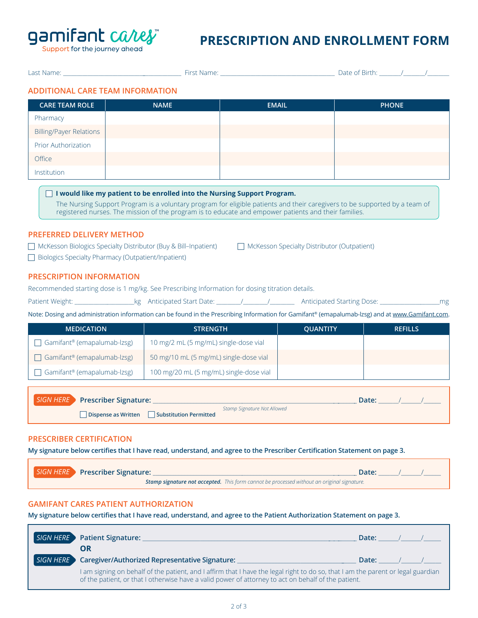

Support for the journey ahead

## **PRESCRIPTION AND ENROLLMENT FORM**

|                                                                                                                                                                                                                                                                                                                                                                                                            | Last Name: the contract of the contract of the First Name: the contract of the contract of the contract of the contract of the contract of the contract of the contract of the contract of the contract of the contract of the |              |                                             |              |                |  |  |
|------------------------------------------------------------------------------------------------------------------------------------------------------------------------------------------------------------------------------------------------------------------------------------------------------------------------------------------------------------------------------------------------------------|--------------------------------------------------------------------------------------------------------------------------------------------------------------------------------------------------------------------------------|--------------|---------------------------------------------|--------------|----------------|--|--|
| <b>ADDITIONAL CARE TEAM INFORMATION</b>                                                                                                                                                                                                                                                                                                                                                                    |                                                                                                                                                                                                                                |              |                                             |              |                |  |  |
| <b>CARE TEAM ROLE</b>                                                                                                                                                                                                                                                                                                                                                                                      | <b>NAME</b>                                                                                                                                                                                                                    | <b>EMAIL</b> |                                             | <b>PHONE</b> |                |  |  |
| Pharmacy                                                                                                                                                                                                                                                                                                                                                                                                   |                                                                                                                                                                                                                                |              |                                             |              |                |  |  |
| <b>Billing/Payer Relations</b>                                                                                                                                                                                                                                                                                                                                                                             |                                                                                                                                                                                                                                |              |                                             |              |                |  |  |
| Prior Authorization                                                                                                                                                                                                                                                                                                                                                                                        |                                                                                                                                                                                                                                |              |                                             |              |                |  |  |
| Office                                                                                                                                                                                                                                                                                                                                                                                                     |                                                                                                                                                                                                                                |              |                                             |              |                |  |  |
| Institution                                                                                                                                                                                                                                                                                                                                                                                                |                                                                                                                                                                                                                                |              |                                             |              |                |  |  |
| registered nurses. The mission of the program is to educate and empower patients and their families.<br><b>PREFERRED DELIVERY METHOD</b><br>McKesson Biologics Specialty Distributor (Buy & Bill-Inpatient)<br>□ Biologics Specialty Pharmacy (Outpatient/Inpatient)<br><b>PRESCRIPTION INFORMATION</b><br>Recommended starting dose is 1 mg/kg. See Prescribing Information for dosing titration details. |                                                                                                                                                                                                                                |              | McKesson Specialty Distributor (Outpatient) |              |                |  |  |
| Note: Dosing and administration information can be found in the Prescribing Information for Gamifant® (emapalumab-lzsg) and at www.Gamifant.com.                                                                                                                                                                                                                                                           |                                                                                                                                                                                                                                |              |                                             |              |                |  |  |
| <b>MEDICATION</b>                                                                                                                                                                                                                                                                                                                                                                                          | <b>STRENGTH</b>                                                                                                                                                                                                                |              | <b>QUANTITY</b>                             |              | <b>REFILLS</b> |  |  |
| □ Gamifant® (emapalumab-lzsg)                                                                                                                                                                                                                                                                                                                                                                              | 10 mg/2 mL (5 mg/mL) single-dose vial                                                                                                                                                                                          |              |                                             |              |                |  |  |
| □ Gamifant® (emapalumab-lzsg)                                                                                                                                                                                                                                                                                                                                                                              | 50 mg/10 mL (5 mg/mL) single-dose vial                                                                                                                                                                                         |              |                                             |              |                |  |  |
| □ Gamifant® (emapalumab-lzsg)                                                                                                                                                                                                                                                                                                                                                                              | 100 mg/20 mL (5 mg/mL) single-dose vial                                                                                                                                                                                        |              |                                             |              |                |  |  |
| <b>SIGN HERE</b><br>Date: $\frac{1}{\sqrt{1-\frac{1}{2}}}$<br>Stamp Signature Not Allowed<br>Dispense as Written   Substitution Permitted                                                                                                                                                                                                                                                                  |                                                                                                                                                                                                                                |              |                                             |              |                |  |  |
| <b>PRESCRIBER CERTIFICATION</b>                                                                                                                                                                                                                                                                                                                                                                            |                                                                                                                                                                                                                                |              |                                             |              |                |  |  |

**My signature below certifies that I have read, understand, and agree to the Prescriber Certification Statement on page 3.**

| SIGN HERE Prescriber Signature: |  | Date:                                                                                             |  |  |  |  |
|---------------------------------|--|---------------------------------------------------------------------------------------------------|--|--|--|--|
|                                 |  | <b>Stamp signature not accepted.</b> This form cannot be processed without an original signature. |  |  |  |  |

### **GAMIFANT CARES PATIENT AUTHORIZATION**

Г

**My signature below certifies that I have read, understand, and agree to the Patient Authorization Statement on page 3.**

|           | SIGN HERE Patient Signature:<br>OR                                                                                                                                                                                                      | Date: |  |  |  |  |
|-----------|-----------------------------------------------------------------------------------------------------------------------------------------------------------------------------------------------------------------------------------------|-------|--|--|--|--|
| SIGN HERE | <b>Caregiver/Authorized Representative Signature:</b>                                                                                                                                                                                   | Date: |  |  |  |  |
|           | I am signing on behalf of the patient, and I affirm that I have the legal right to do so, that I am the parent or legal guardian<br>of the patient, or that I otherwise have a valid power of attorney to act on behalf of the patient. |       |  |  |  |  |